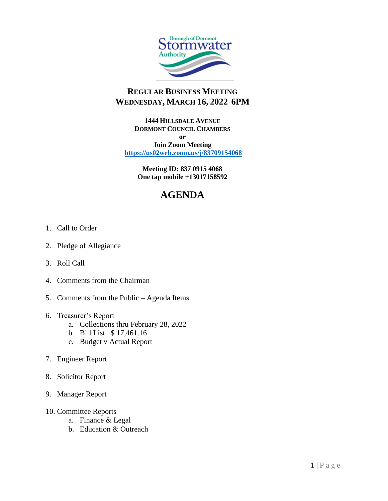

## **REGULAR BUSINESS MEETING WEDNESDAY, MARCH 16, 2022 6PM**

**1444 HILLSDALE AVENUE DORMONT COUNCIL CHAMBERS or**

**Join Zoom Meeting <https://us02web.zoom.us/j/83709154068>**

> **Meeting ID: 837 0915 4068 One tap mobile +13017158592**

# **AGENDA**

- 1. Call to Order
- 2. Pledge of Allegiance
- 3. Roll Call
- 4. Comments from the Chairman
- 5. Comments from the Public Agenda Items
- 6. Treasurer's Report
	- a. Collections thru February 28, 2022
	- b. Bill List \$ 17,461.16
	- c. Budget v Actual Report
- 7. Engineer Report
- 8. Solicitor Report
- 9. Manager Report
- 10. Committee Reports
	- a. Finance & Legal
	- b. Education & Outreach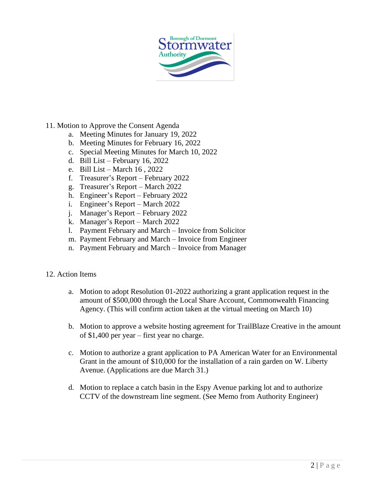

- 11. Motion to Approve the Consent Agenda
	- a. Meeting Minutes for January 19, 2022
	- b. Meeting Minutes for February 16, 2022
	- c. Special Meeting Minutes for March 10, 2022
	- d. Bill List February 16, 2022
	- e. Bill List March 16 , 2022
	- f. Treasurer's Report February 2022
	- g. Treasurer's Report March 2022
	- h. Engineer's Report February 2022
	- i. Engineer's Report March 2022
	- j. Manager's Report February 2022
	- k. Manager's Report March 2022
	- l. Payment February and March Invoice from Solicitor
	- m. Payment February and March Invoice from Engineer
	- n. Payment February and March Invoice from Manager

#### 12. Action Items

- a. Motion to adopt Resolution 01-2022 authorizing a grant application request in the amount of \$500,000 through the Local Share Account, Commonwealth Financing Agency. (This will confirm action taken at the virtual meeting on March 10)
- b. Motion to approve a website hosting agreement for TrailBlaze Creative in the amount of \$1,400 per year – first year no charge.
- c. Motion to authorize a grant application to PA American Water for an Environmental Grant in the amount of \$10,000 for the installation of a rain garden on W. Liberty Avenue. (Applications are due March 31.)
- d. Motion to replace a catch basin in the Espy Avenue parking lot and to authorize CCTV of the downstream line segment. (See Memo from Authority Engineer)